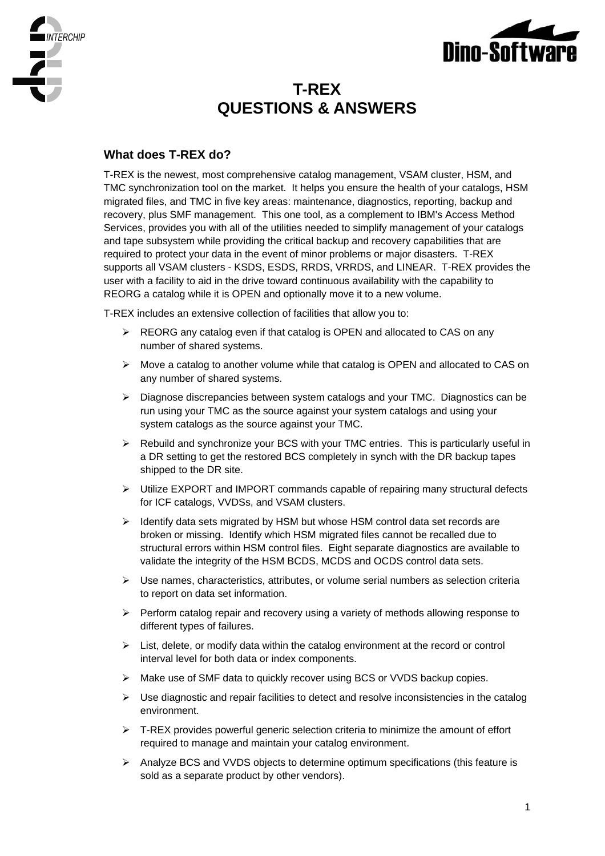



# **T-REX QUESTIONS & ANSWERS**

# **What does T-REX do?**

T-REX is the newest, most comprehensive catalog management, VSAM cluster, HSM, and TMC synchronization tool on the market. It helps you ensure the health of your catalogs, HSM migrated files, and TMC in five key areas: maintenance, diagnostics, reporting, backup and recovery, plus SMF management. This one tool, as a complement to IBM's Access Method Services, provides you with all of the utilities needed to simplify management of your catalogs and tape subsystem while providing the critical backup and recovery capabilities that are required to protect your data in the event of minor problems or major disasters. T-REX supports all VSAM clusters - KSDS, ESDS, RRDS, VRRDS, and LINEAR. T-REX provides the user with a facility to aid in the drive toward continuous availability with the capability to REORG a catalog while it is OPEN and optionally move it to a new volume.

T-REX includes an extensive collection of facilities that allow you to:

- ¾ REORG any catalog even if that catalog is OPEN and allocated to CAS on any number of shared systems.
- $\triangleright$  Move a catalog to another volume while that catalog is OPEN and allocated to CAS on any number of shared systems.
- ¾ Diagnose discrepancies between system catalogs and your TMC. Diagnostics can be run using your TMC as the source against your system catalogs and using your system catalogs as the source against your TMC.
- $\triangleright$  Rebuild and synchronize your BCS with your TMC entries. This is particularly useful in a DR setting to get the restored BCS completely in synch with the DR backup tapes shipped to the DR site.
- ¾ Utilize EXPORT and IMPORT commands capable of repairing many structural defects for ICF catalogs, VVDSs, and VSAM clusters.
- $\triangleright$  Identify data sets migrated by HSM but whose HSM control data set records are broken or missing. Identify which HSM migrated files cannot be recalled due to structural errors within HSM control files. Eight separate diagnostics are available to validate the integrity of the HSM BCDS, MCDS and OCDS control data sets.
- ¾ Use names, characteristics, attributes, or volume serial numbers as selection criteria to report on data set information.
- $\triangleright$  Perform catalog repair and recovery using a variety of methods allowing response to different types of failures.
- $\triangleright$  List, delete, or modify data within the catalog environment at the record or control interval level for both data or index components.
- ¾ Make use of SMF data to quickly recover using BCS or VVDS backup copies.
- $\triangleright$  Use diagnostic and repair facilities to detect and resolve inconsistencies in the catalog environment.
- $\triangleright$  T-REX provides powerful generic selection criteria to minimize the amount of effort required to manage and maintain your catalog environment.
- ¾ Analyze BCS and VVDS objects to determine optimum specifications (this feature is sold as a separate product by other vendors).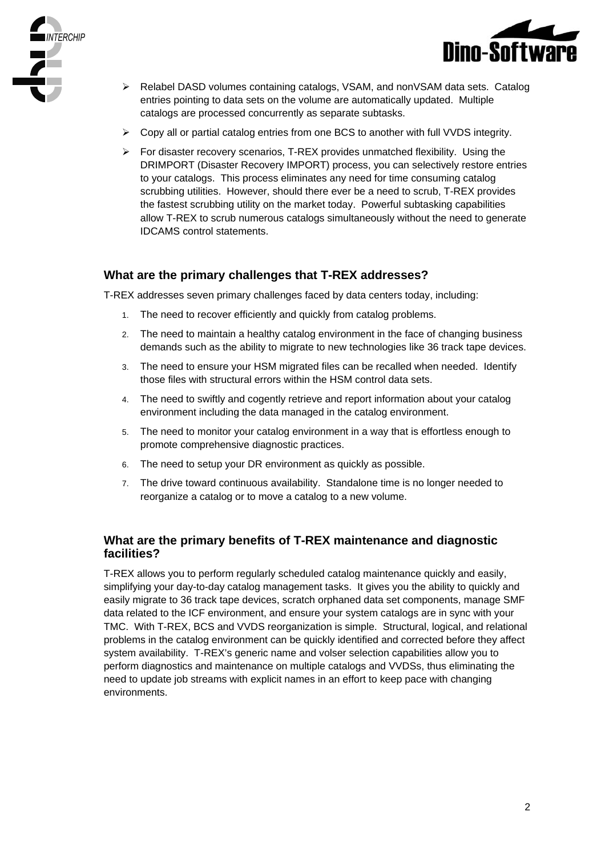



- ¾ Relabel DASD volumes containing catalogs, VSAM, and nonVSAM data sets. Catalog entries pointing to data sets on the volume are automatically updated. Multiple catalogs are processed concurrently as separate subtasks.
- $\geq$  Copy all or partial catalog entries from one BCS to another with full VVDS integrity.
- $\triangleright$  For disaster recovery scenarios, T-REX provides unmatched flexibility. Using the DRIMPORT (Disaster Recovery IMPORT) process, you can selectively restore entries to your catalogs. This process eliminates any need for time consuming catalog scrubbing utilities. However, should there ever be a need to scrub, T-REX provides the fastest scrubbing utility on the market today. Powerful subtasking capabilities allow T-REX to scrub numerous catalogs simultaneously without the need to generate IDCAMS control statements.

## **What are the primary challenges that T-REX addresses?**

T-REX addresses seven primary challenges faced by data centers today, including:

- 1. The need to recover efficiently and quickly from catalog problems.
- 2. The need to maintain a healthy catalog environment in the face of changing business demands such as the ability to migrate to new technologies like 36 track tape devices.
- 3. The need to ensure your HSM migrated files can be recalled when needed. Identify those files with structural errors within the HSM control data sets.
- 4. The need to swiftly and cogently retrieve and report information about your catalog environment including the data managed in the catalog environment.
- 5. The need to monitor your catalog environment in a way that is effortless enough to promote comprehensive diagnostic practices.
- 6. The need to setup your DR environment as quickly as possible.
- 7. The drive toward continuous availability. Standalone time is no longer needed to reorganize a catalog or to move a catalog to a new volume.

#### **What are the primary benefits of T-REX maintenance and diagnostic facilities?**

T-REX allows you to perform regularly scheduled catalog maintenance quickly and easily, simplifying your day-to-day catalog management tasks. It gives you the ability to quickly and easily migrate to 36 track tape devices, scratch orphaned data set components, manage SMF data related to the ICF environment, and ensure your system catalogs are in sync with your TMC. With T-REX, BCS and VVDS reorganization is simple. Structural, logical, and relational problems in the catalog environment can be quickly identified and corrected before they affect system availability. T-REX's generic name and volser selection capabilities allow you to perform diagnostics and maintenance on multiple catalogs and VVDSs, thus eliminating the need to update job streams with explicit names in an effort to keep pace with changing environments.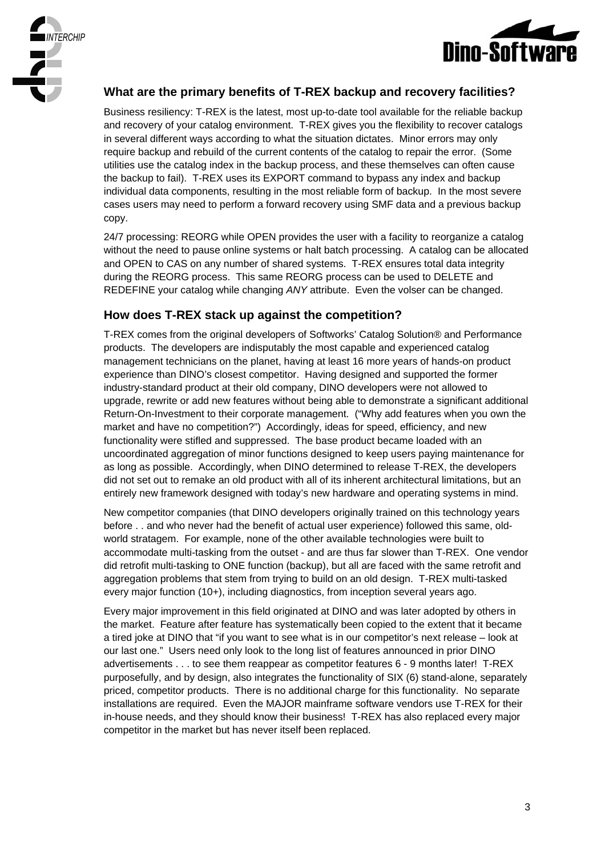



# **What are the primary benefits of T-REX backup and recovery facilities?**

Business resiliency: T-REX is the latest, most up-to-date tool available for the reliable backup and recovery of your catalog environment. T-REX gives you the flexibility to recover catalogs in several different ways according to what the situation dictates. Minor errors may only require backup and rebuild of the current contents of the catalog to repair the error. (Some utilities use the catalog index in the backup process, and these themselves can often cause the backup to fail). T-REX uses its EXPORT command to bypass any index and backup individual data components, resulting in the most reliable form of backup. In the most severe cases users may need to perform a forward recovery using SMF data and a previous backup copy.

24/7 processing: REORG while OPEN provides the user with a facility to reorganize a catalog without the need to pause online systems or halt batch processing. A catalog can be allocated and OPEN to CAS on any number of shared systems. T-REX ensures total data integrity during the REORG process. This same REORG process can be used to DELETE and REDEFINE your catalog while changing *ANY* attribute. Even the volser can be changed.

# **How does T-REX stack up against the competition?**

T-REX comes from the original developers of Softworks' Catalog Solution® and Performance products. The developers are indisputably the most capable and experienced catalog management technicians on the planet, having at least 16 more years of hands-on product experience than DINO's closest competitor. Having designed and supported the former industry-standard product at their old company, DINO developers were not allowed to upgrade, rewrite or add new features without being able to demonstrate a significant additional Return-On-Investment to their corporate management. ("Why add features when you own the market and have no competition?") Accordingly, ideas for speed, efficiency, and new functionality were stifled and suppressed. The base product became loaded with an uncoordinated aggregation of minor functions designed to keep users paying maintenance for as long as possible. Accordingly, when DINO determined to release T-REX, the developers did not set out to remake an old product with all of its inherent architectural limitations, but an entirely new framework designed with today's new hardware and operating systems in mind.

New competitor companies (that DINO developers originally trained on this technology years before . . and who never had the benefit of actual user experience) followed this same, oldworld stratagem. For example, none of the other available technologies were built to accommodate multi-tasking from the outset - and are thus far slower than T-REX. One vendor did retrofit multi-tasking to ONE function (backup), but all are faced with the same retrofit and aggregation problems that stem from trying to build on an old design. T-REX multi-tasked every major function (10+), including diagnostics, from inception several years ago.

Every major improvement in this field originated at DINO and was later adopted by others in the market. Feature after feature has systematically been copied to the extent that it became a tired joke at DINO that "if you want to see what is in our competitor's next release – look at our last one." Users need only look to the long list of features announced in prior DINO advertisements . . . to see them reappear as competitor features 6 - 9 months later! T-REX purposefully, and by design, also integrates the functionality of SIX (6) stand-alone, separately priced, competitor products. There is no additional charge for this functionality. No separate installations are required. Even the MAJOR mainframe software vendors use T-REX for their in-house needs, and they should know their business! T-REX has also replaced every major competitor in the market but has never itself been replaced.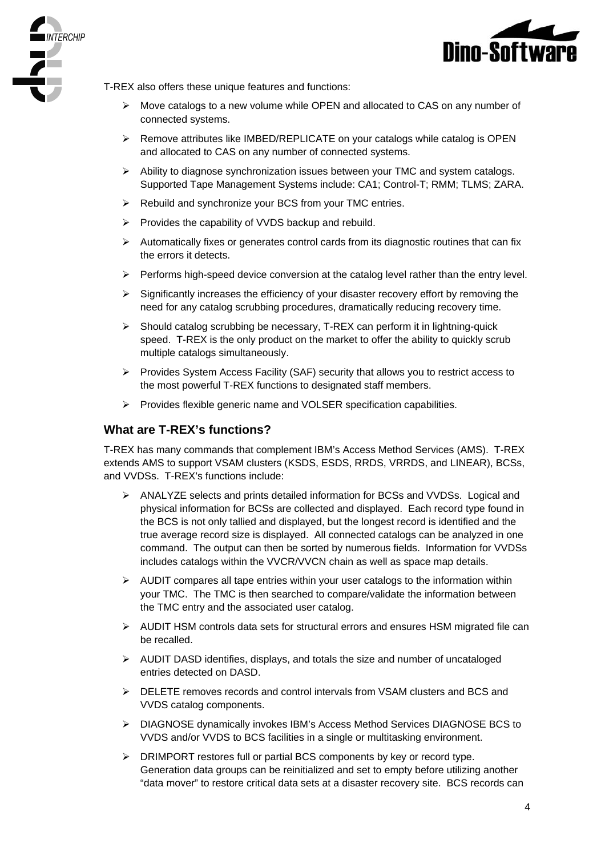



T-REX also offers these unique features and functions:

- $\triangleright$  Move catalogs to a new volume while OPEN and allocated to CAS on any number of connected systems.
- $\triangleright$  Remove attributes like IMBED/REPLICATE on your catalogs while catalog is OPEN and allocated to CAS on any number of connected systems.
- $\triangleright$  Ability to diagnose synchronization issues between your TMC and system catalogs. Supported Tape Management Systems include: CA1; Control-T; RMM; TLMS; ZARA.
- $\triangleright$  Rebuild and synchronize your BCS from your TMC entries.
- $\triangleright$  Provides the capability of VVDS backup and rebuild.
- $\triangleright$  Automatically fixes or generates control cards from its diagnostic routines that can fix the errors it detects.
- $\triangleright$  Performs high-speed device conversion at the catalog level rather than the entry level.
- $\triangleright$  Significantly increases the efficiency of your disaster recovery effort by removing the need for any catalog scrubbing procedures, dramatically reducing recovery time.
- ¾ Should catalog scrubbing be necessary, T-REX can perform it in lightning-quick speed. T-REX is the only product on the market to offer the ability to quickly scrub multiple catalogs simultaneously.
- $\triangleright$  Provides System Access Facility (SAF) security that allows you to restrict access to the most powerful T-REX functions to designated staff members.
- ¾ Provides flexible generic name and VOLSER specification capabilities.

#### **What are T-REX's functions?**

T-REX has many commands that complement IBM's Access Method Services (AMS). T-REX extends AMS to support VSAM clusters (KSDS, ESDS, RRDS, VRRDS, and LINEAR), BCSs, and VVDSs. T-REX's functions include:

- $\triangleright$  ANALYZE selects and prints detailed information for BCSs and VVDSs. Logical and physical information for BCSs are collected and displayed. Each record type found in the BCS is not only tallied and displayed, but the longest record is identified and the true average record size is displayed. All connected catalogs can be analyzed in one command. The output can then be sorted by numerous fields. Information for VVDSs includes catalogs within the VVCR/VVCN chain as well as space map details.
- $\triangleright$  AUDIT compares all tape entries within your user catalogs to the information within your TMC. The TMC is then searched to compare/validate the information between the TMC entry and the associated user catalog.
- ¾ AUDIT HSM controls data sets for structural errors and ensures HSM migrated file can be recalled.
- $\triangleright$  AUDIT DASD identifies, displays, and totals the size and number of uncataloged entries detected on DASD.
- ¾ DELETE removes records and control intervals from VSAM clusters and BCS and VVDS catalog components.
- ¾ DIAGNOSE dynamically invokes IBM's Access Method Services DIAGNOSE BCS to VVDS and/or VVDS to BCS facilities in a single or multitasking environment.
- ¾ DRIMPORT restores full or partial BCS components by key or record type. Generation data groups can be reinitialized and set to empty before utilizing another "data mover" to restore critical data sets at a disaster recovery site. BCS records can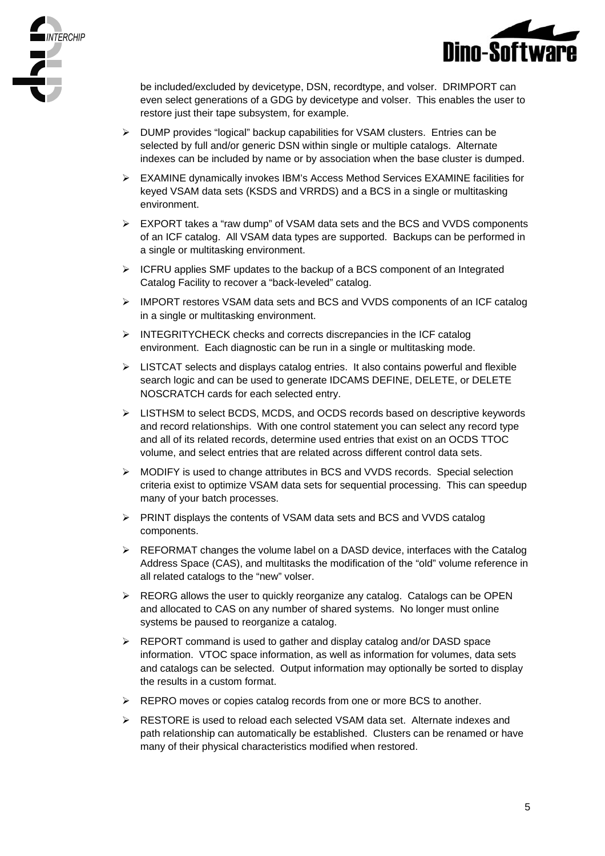



be included/excluded by devicetype, DSN, recordtype, and volser. DRIMPORT can even select generations of a GDG by devicetype and volser. This enables the user to restore just their tape subsystem, for example.

- ¾ DUMP provides "logical" backup capabilities for VSAM clusters. Entries can be selected by full and/or generic DSN within single or multiple catalogs. Alternate indexes can be included by name or by association when the base cluster is dumped.
- ¾ EXAMINE dynamically invokes IBM's Access Method Services EXAMINE facilities for keyed VSAM data sets (KSDS and VRRDS) and a BCS in a single or multitasking environment.
- $\triangleright$  EXPORT takes a "raw dump" of VSAM data sets and the BCS and VVDS components of an ICF catalog. All VSAM data types are supported. Backups can be performed in a single or multitasking environment.
- ¾ ICFRU applies SMF updates to the backup of a BCS component of an Integrated Catalog Facility to recover a "back-leveled" catalog.
- ¾ IMPORT restores VSAM data sets and BCS and VVDS components of an ICF catalog in a single or multitasking environment.
- ¾ INTEGRITYCHECK checks and corrects discrepancies in the ICF catalog environment. Each diagnostic can be run in a single or multitasking mode.
- $\triangleright$  LISTCAT selects and displays catalog entries. It also contains powerful and flexible search logic and can be used to generate IDCAMS DEFINE, DELETE, or DELETE NOSCRATCH cards for each selected entry.
- ¾ LISTHSM to select BCDS, MCDS, and OCDS records based on descriptive keywords and record relationships. With one control statement you can select any record type and all of its related records, determine used entries that exist on an OCDS TTOC volume, and select entries that are related across different control data sets.
- ¾ MODIFY is used to change attributes in BCS and VVDS records. Special selection criteria exist to optimize VSAM data sets for sequential processing. This can speedup many of your batch processes.
- ¾ PRINT displays the contents of VSAM data sets and BCS and VVDS catalog components.
- $\triangleright$  REFORMAT changes the volume label on a DASD device, interfaces with the Catalog Address Space (CAS), and multitasks the modification of the "old" volume reference in all related catalogs to the "new" volser.
- $\triangleright$  REORG allows the user to quickly reorganize any catalog. Catalogs can be OPEN and allocated to CAS on any number of shared systems. No longer must online systems be paused to reorganize a catalog.
- $\triangleright$  REPORT command is used to gather and display catalog and/or DASD space information. VTOC space information, as well as information for volumes, data sets and catalogs can be selected. Output information may optionally be sorted to display the results in a custom format.
- ¾ REPRO moves or copies catalog records from one or more BCS to another.
- ¾ RESTORE is used to reload each selected VSAM data set. Alternate indexes and path relationship can automatically be established. Clusters can be renamed or have many of their physical characteristics modified when restored.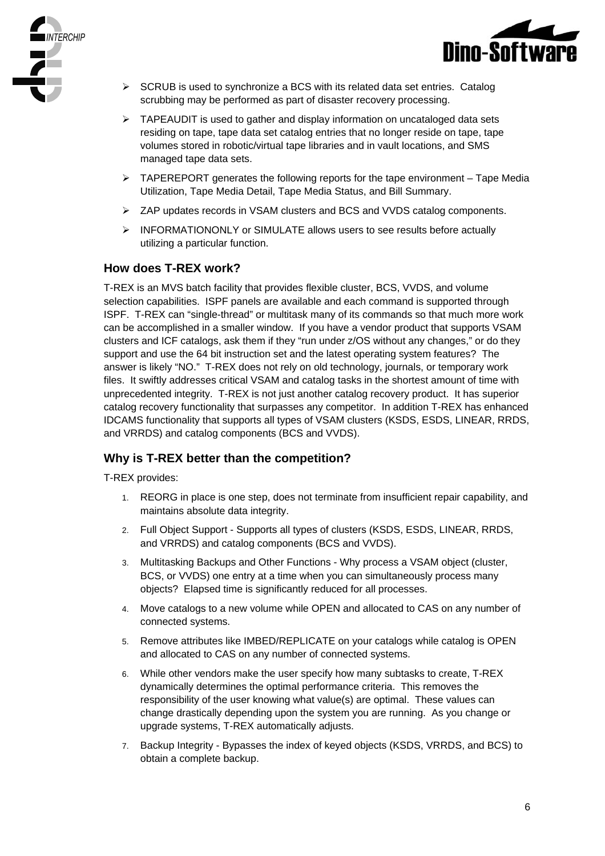



- $\triangleright$  SCRUB is used to synchronize a BCS with its related data set entries. Catalog scrubbing may be performed as part of disaster recovery processing.
- $\triangleright$  TAPEAUDIT is used to gather and display information on uncataloged data sets residing on tape, tape data set catalog entries that no longer reside on tape, tape volumes stored in robotic/virtual tape libraries and in vault locations, and SMS managed tape data sets.
- $\triangleright$  TAPEREPORT generates the following reports for the tape environment Tape Media Utilization, Tape Media Detail, Tape Media Status, and Bill Summary.
- ¾ ZAP updates records in VSAM clusters and BCS and VVDS catalog components.
- ¾ INFORMATIONONLY or SIMULATE allows users to see results before actually utilizing a particular function.

#### **How does T-REX work?**

T-REX is an MVS batch facility that provides flexible cluster, BCS, VVDS, and volume selection capabilities. ISPF panels are available and each command is supported through ISPF. T-REX can "single-thread" or multitask many of its commands so that much more work can be accomplished in a smaller window. If you have a vendor product that supports VSAM clusters and ICF catalogs, ask them if they "run under z/OS without any changes," or do they support and use the 64 bit instruction set and the latest operating system features? The answer is likely "NO." T-REX does not rely on old technology, journals, or temporary work files. It swiftly addresses critical VSAM and catalog tasks in the shortest amount of time with unprecedented integrity. T-REX is not just another catalog recovery product. It has superior catalog recovery functionality that surpasses any competitor. In addition T-REX has enhanced IDCAMS functionality that supports all types of VSAM clusters (KSDS, ESDS, LINEAR, RRDS, and VRRDS) and catalog components (BCS and VVDS).

## **Why is T-REX better than the competition?**

T-REX provides:

- 1. REORG in place is one step, does not terminate from insufficient repair capability, and maintains absolute data integrity.
- 2. Full Object Support Supports all types of clusters (KSDS, ESDS, LINEAR, RRDS, and VRRDS) and catalog components (BCS and VVDS).
- 3. Multitasking Backups and Other Functions Why process a VSAM object (cluster, BCS, or VVDS) one entry at a time when you can simultaneously process many objects? Elapsed time is significantly reduced for all processes.
- 4. Move catalogs to a new volume while OPEN and allocated to CAS on any number of connected systems.
- 5. Remove attributes like IMBED/REPLICATE on your catalogs while catalog is OPEN and allocated to CAS on any number of connected systems.
- 6. While other vendors make the user specify how many subtasks to create, T-REX dynamically determines the optimal performance criteria. This removes the responsibility of the user knowing what value(s) are optimal. These values can change drastically depending upon the system you are running. As you change or upgrade systems, T-REX automatically adjusts.
- 7. Backup Integrity Bypasses the index of keyed objects (KSDS, VRRDS, and BCS) to obtain a complete backup.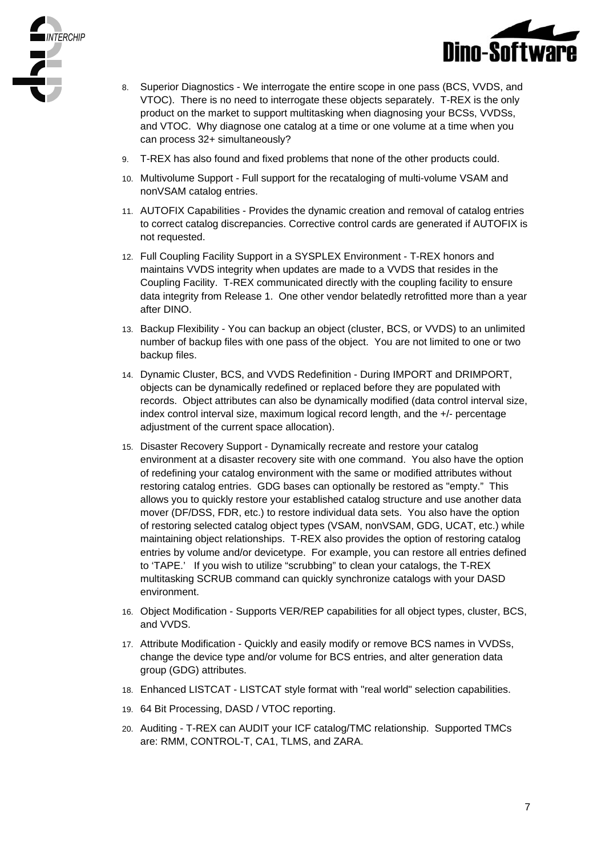



- 8. Superior Diagnostics We interrogate the entire scope in one pass (BCS, VVDS, and VTOC). There is no need to interrogate these objects separately. T-REX is the only product on the market to support multitasking when diagnosing your BCSs, VVDSs, and VTOC. Why diagnose one catalog at a time or one volume at a time when you can process 32+ simultaneously?
- 9. T-REX has also found and fixed problems that none of the other products could.
- 10. Multivolume Support Full support for the recataloging of multi-volume VSAM and nonVSAM catalog entries.
- 11. AUTOFIX Capabilities Provides the dynamic creation and removal of catalog entries to correct catalog discrepancies. Corrective control cards are generated if AUTOFIX is not requested.
- 12. Full Coupling Facility Support in a SYSPLEX Environment T-REX honors and maintains VVDS integrity when updates are made to a VVDS that resides in the Coupling Facility. T-REX communicated directly with the coupling facility to ensure data integrity from Release 1. One other vendor belatedly retrofitted more than a year after DINO.
- 13. Backup Flexibility You can backup an object (cluster, BCS, or VVDS) to an unlimited number of backup files with one pass of the object. You are not limited to one or two backup files.
- 14. Dynamic Cluster, BCS, and VVDS Redefinition During IMPORT and DRIMPORT, objects can be dynamically redefined or replaced before they are populated with records. Object attributes can also be dynamically modified (data control interval size, index control interval size, maximum logical record length, and the +/- percentage adjustment of the current space allocation).
- 15. Disaster Recovery Support Dynamically recreate and restore your catalog environment at a disaster recovery site with one command. You also have the option of redefining your catalog environment with the same or modified attributes without restoring catalog entries. GDG bases can optionally be restored as "empty." This allows you to quickly restore your established catalog structure and use another data mover (DF/DSS, FDR, etc.) to restore individual data sets. You also have the option of restoring selected catalog object types (VSAM, nonVSAM, GDG, UCAT, etc.) while maintaining object relationships. T-REX also provides the option of restoring catalog entries by volume and/or devicetype. For example, you can restore all entries defined to 'TAPE.' If you wish to utilize "scrubbing" to clean your catalogs, the T-REX multitasking SCRUB command can quickly synchronize catalogs with your DASD environment.
- 16. Object Modification Supports VER/REP capabilities for all object types, cluster, BCS, and VVDS.
- 17. Attribute Modification Quickly and easily modify or remove BCS names in VVDSs, change the device type and/or volume for BCS entries, and alter generation data group (GDG) attributes.
- 18. Enhanced LISTCAT LISTCAT style format with "real world" selection capabilities.
- 19. 64 Bit Processing, DASD / VTOC reporting.
- 20. Auditing T-REX can AUDIT your ICF catalog/TMC relationship. Supported TMCs are: RMM, CONTROL-T, CA1, TLMS, and ZARA.